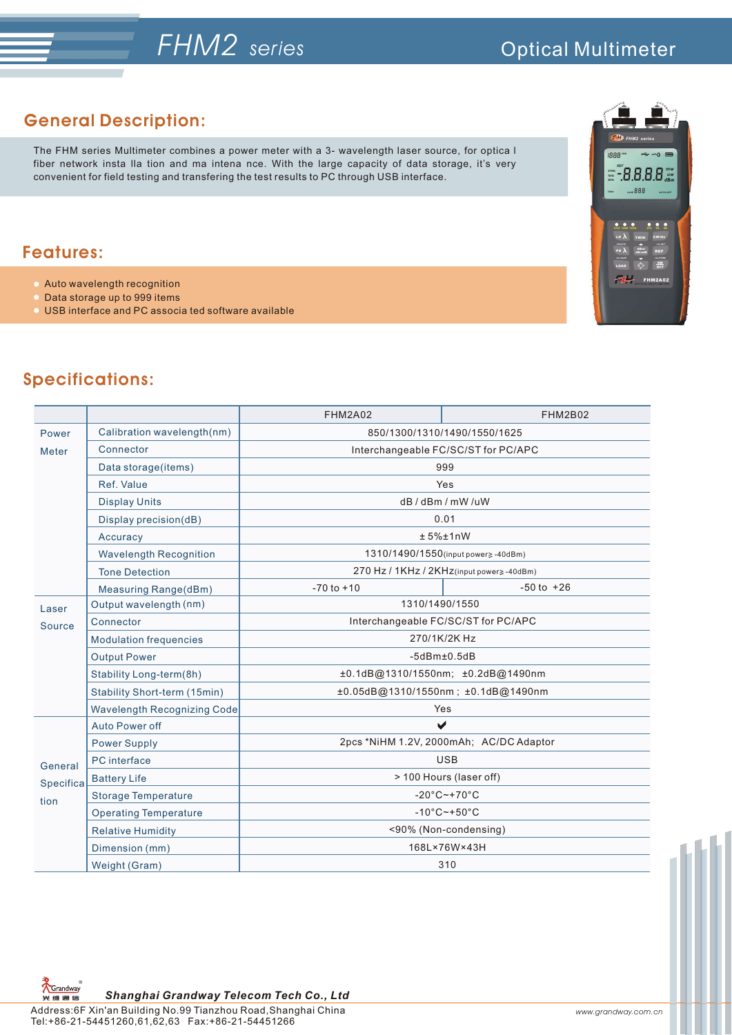# *FHM2**series*

## **General Description:**

The FHM series Multimeter combines a power meter with a 3- wavelength laser source, for optica l fiber network insta lla tion and ma intena nce. With the large capacity of data storage, it's very convenient for field testing and transfering the test results to PC through USB interface.

### **Features:**

- Auto wavelength recognition
- Data storage up to 999 items
- USB interface and PC associa ted software available



# **Specifications:**

|                              |                                    | FHM2A02                                  | <b>FHM2B02</b> |
|------------------------------|------------------------------------|------------------------------------------|----------------|
| Power                        | Calibration wavelength(nm)         | 850/1300/1310/1490/1550/1625             |                |
| <b>Meter</b>                 | Connector                          | Interchangeable FC/SC/ST for PC/APC      |                |
|                              | Data storage(items)                | 999                                      |                |
|                              | Ref. Value                         | Yes                                      |                |
|                              | <b>Display Units</b>               | dB/dBm/mW/uW                             |                |
|                              | Display precision(dB)              | 0.01                                     |                |
|                              | Accuracy                           | ± 5%±1nW                                 |                |
|                              | <b>Wavelength Recognition</b>      | 1310/1490/1550(input power> -40dBm)      |                |
|                              | <b>Tone Detection</b>              | 270 Hz / 1KHz / 2KHz(input power≥-40dBm) |                |
|                              | Measuring Range(dBm)               | $-70$ to $+10$                           | $-50$ to $+26$ |
| Laser<br>Source              | Output wavelength (nm)             | 1310/1490/1550                           |                |
|                              | Connector                          | Interchangeable FC/SC/ST for PC/APC      |                |
|                              | <b>Modulation frequencies</b>      | 270/1K/2K Hz                             |                |
|                              | <b>Output Power</b>                | $-5d$ B $m$ $\pm$ 0.5dB                  |                |
|                              | Stability Long-term(8h)            | ±0.1dB@1310/1550nm; ±0.2dB@1490nm        |                |
|                              | Stability Short-term (15min)       | ±0.05dB@1310/1550nm; ±0.1dB@1490nm       |                |
|                              | <b>Wavelength Recognizing Code</b> | Yes                                      |                |
| General<br>Specifica<br>tion | Auto Power off                     | $\blacktriangleright$                    |                |
|                              | <b>Power Supply</b>                | 2pcs *NiHM 1.2V, 2000mAh; AC/DC Adaptor  |                |
|                              | PC interface                       | <b>USB</b>                               |                |
|                              | <b>Battery Life</b>                | > 100 Hours (laser off)                  |                |
|                              | <b>Storage Temperature</b>         | $-20^{\circ}$ C $-+70^{\circ}$ C         |                |
|                              | <b>Operating Temperature</b>       | $-10^{\circ}$ C $-+50^{\circ}$ C         |                |
|                              | <b>Relative Humidity</b>           | <90% (Non-condensing)                    |                |
|                              | Dimension (mm)                     | 168L×76W×43H                             |                |
|                              | Weight (Gram)                      | 310                                      |                |

ス<br>KGrandway<br>光 维 画 信 *Shanghai Grandway Telecom Tech Co., Ltd*